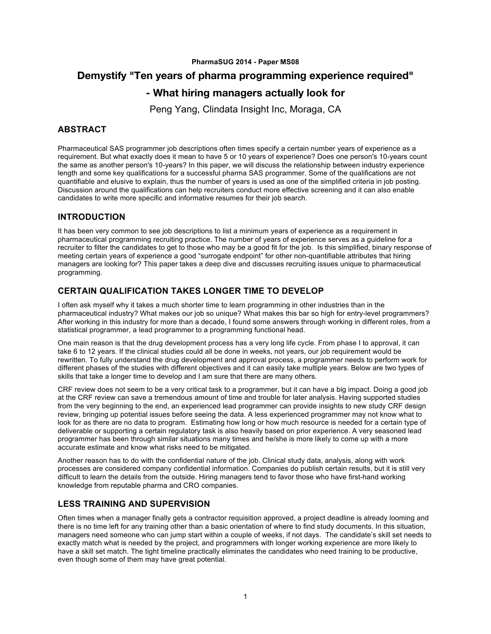#### **PharmaSUG 2014 - Paper MS08**

# **Demystify "Ten years of pharma programming experience required"**

# **- What hiring managers actually look for**

Peng Yang, Clindata Insight Inc, Moraga, CA

### **ABSTRACT**

Pharmaceutical SAS programmer job descriptions often times specify a certain number years of experience as a requirement. But what exactly does it mean to have 5 or 10 years of experience? Does one person's 10-years count the same as another person's 10-years? In this paper, we will discuss the relationship between industry experience length and some key qualifications for a successful pharma SAS programmer. Some of the qualifications are not quantifiable and elusive to explain, thus the number of years is used as one of the simplified criteria in job posting. Discussion around the qualifications can help recruiters conduct more effective screening and it can also enable candidates to write more specific and informative resumes for their job search.

#### **INTRODUCTION**

It has been very common to see job descriptions to list a minimum years of experience as a requirement in pharmaceutical programming recruiting practice. The number of years of experience serves as a guideline for a recruiter to filter the candidates to get to those who may be a good fit for the job. Is this simplified, binary response of meeting certain years of experience a good "surrogate endpoint" for other non-quantifiable attributes that hiring managers are looking for? This paper takes a deep dive and discusses recruiting issues unique to pharmaceutical programming.

#### **CERTAIN QUALIFICATION TAKES LONGER TIME TO DEVELOP**

I often ask myself why it takes a much shorter time to learn programming in other industries than in the pharmaceutical industry? What makes our job so unique? What makes this bar so high for entry-level programmers? After working in this industry for more than a decade, I found some answers through working in different roles, from a statistical programmer, a lead programmer to a programming functional head.

One main reason is that the drug development process has a very long life cycle. From phase I to approval, it can take 6 to 12 years. If the clinical studies could all be done in weeks, not years, our job requirement would be rewritten. To fully understand the drug development and approval process, a programmer needs to perform work for different phases of the studies with different objectives and it can easily take multiple years. Below are two types of skills that take a longer time to develop and I am sure that there are many others.

CRF review does not seem to be a very critical task to a programmer, but it can have a big impact. Doing a good job at the CRF review can save a tremendous amount of time and trouble for later analysis. Having supported studies from the very beginning to the end, an experienced lead programmer can provide insights to new study CRF design review, bringing up potential issues before seeing the data. A less experienced programmer may not know what to look for as there are no data to program. Estimating how long or how much resource is needed for a certain type of deliverable or supporting a certain regulatory task is also heavily based on prior experience. A very seasoned lead programmer has been through similar situations many times and he/she is more likely to come up with a more accurate estimate and know what risks need to be mitigated.

Another reason has to do with the confidential nature of the job. Clinical study data, analysis, along with work processes are considered company confidential information. Companies do publish certain results, but it is still very difficult to learn the details from the outside. Hiring managers tend to favor those who have first-hand working knowledge from reputable pharma and CRO companies.

#### **LESS TRAINING AND SUPERVISION**

Often times when a manager finally gets a contractor requisition approved, a project deadline is already looming and there is no time left for any training other than a basic orientation of where to find study documents. In this situation, managers need someone who can jump start within a couple of weeks, if not days. The candidate's skill set needs to exactly match what is needed by the project, and programmers with longer working experience are more likely to have a skill set match. The tight timeline practically eliminates the candidates who need training to be productive, even though some of them may have great potential.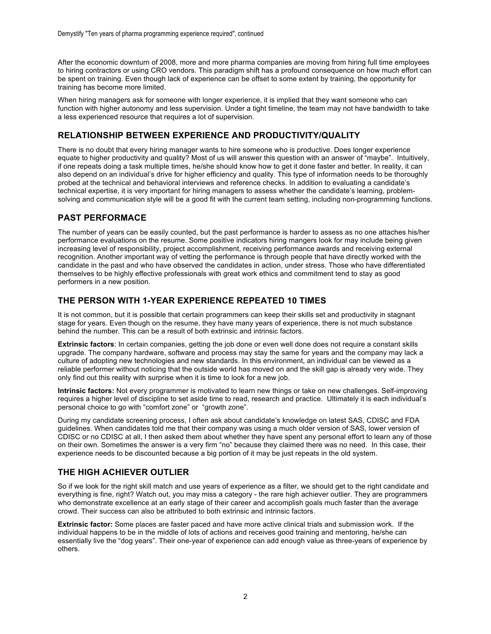After the economic downturn of 2008, more and more pharma companies are moving from hiring full time employees to hiring contractors or using CRO vendors. This paradigm shift has a profound consequence on how much effort can be spent on training. Even though lack of experience can be offset to some extent by training, the opportunity for training has become more limited.

When hiring managers ask for someone with longer experience, it is implied that they want someone who can function with higher autonomy and less supervision. Under a tight timeline, the team may not have bandwidth to take a less experienced resource that requires a lot of supervision.

#### **RELATIONSHIP BETWEEN EXPERIENCE AND PRODUCTIVITY/QUALITY**

There is no doubt that every hiring manager wants to hire someone who is productive. Does longer experience equate to higher productivity and quality? Most of us will answer this question with an answer of "maybe". Intuitively, if one repeats doing a task multiple times, he/she should know how to get it done faster and better. In reality, it can also depend on an individual's drive for higher efficiency and quality. This type of information needs to be thoroughly probed at the technical and behavioral interviews and reference checks. In addition to evaluating a candidate's technical expertise, it is very important for hiring managers to assess whether the candidate's learning, problemsolving and communication style will be a good fit with the current team setting, including non-programming functions.

#### **PAST PERFORMACE**

The number of years can be easily counted, but the past performance is harder to assess as no one attaches his/her performance evaluations on the resume. Some positive indicators hiring mangers look for may include being given increasing level of responsibility, project accomplishment, receiving performance awards and receiving external recognition. Another important way of vetting the performance is through people that have directly worked with the candidate in the past and who have observed the candidates in action, under stress. Those who have differentiated themselves to be highly effective professionals with great work ethics and commitment tend to stay as good performers in a new position.

#### **THE PERSON WITH 1-YEAR EXPERIENCE REPEATED 10 TIMES**

It is not common, but it is possible that certain programmers can keep their skills set and productivity in stagnant stage for years. Even though on the resume, they have many years of experience, there is not much substance behind the number. This can be a result of both extrinsic and intrinsic factors.

**Extrinsic factors**: In certain companies, getting the job done or even well done does not require a constant skills upgrade. The company hardware, software and process may stay the same for years and the company may lack a culture of adopting new technologies and new standards. In this environment, an individual can be viewed as a reliable performer without noticing that the outside world has moved on and the skill gap is already very wide. They only find out this reality with surprise when it is time to look for a new job.

**Intrinsic factors:** Not every programmer is motivated to learn new things or take on new challenges. Self-improving requires a higher level of discipline to set aside time to read, research and practice. Ultimately it is each individual's personal choice to go with "comfort zone" or "growth zone".

During my candidate screening process, I often ask about candidate's knowledge on latest SAS, CDISC and FDA guidelines. When candidates told me that their company was using a much older version of SAS, lower version of CDISC or no CDISC at all, I then asked them about whether they have spent any personal effort to learn any of those on their own. Sometimes the answer is a very firm "no" because they claimed there was no need. In this case, their experience needs to be discounted because a big portion of it may be just repeats in the old system.

#### **THE HIGH ACHIEVER OUTLIER**

So if we look for the right skill match and use years of experience as a filter, we should get to the right candidate and everything is fine, right? Watch out, you may miss a category - the rare high achiever outlier. They are programmers who demonstrate excellence at an early stage of their career and accomplish goals much faster than the average crowd. Their success can also be attributed to both extrinsic and intrinsic factors.

**Extrinsic factor:** Some places are faster paced and have more active clinical trials and submission work. If the individual happens to be in the middle of lots of actions and receives good training and mentoring, he/she can essentially live the "dog years". Their one-year of experience can add enough value as three-years of experience by others.